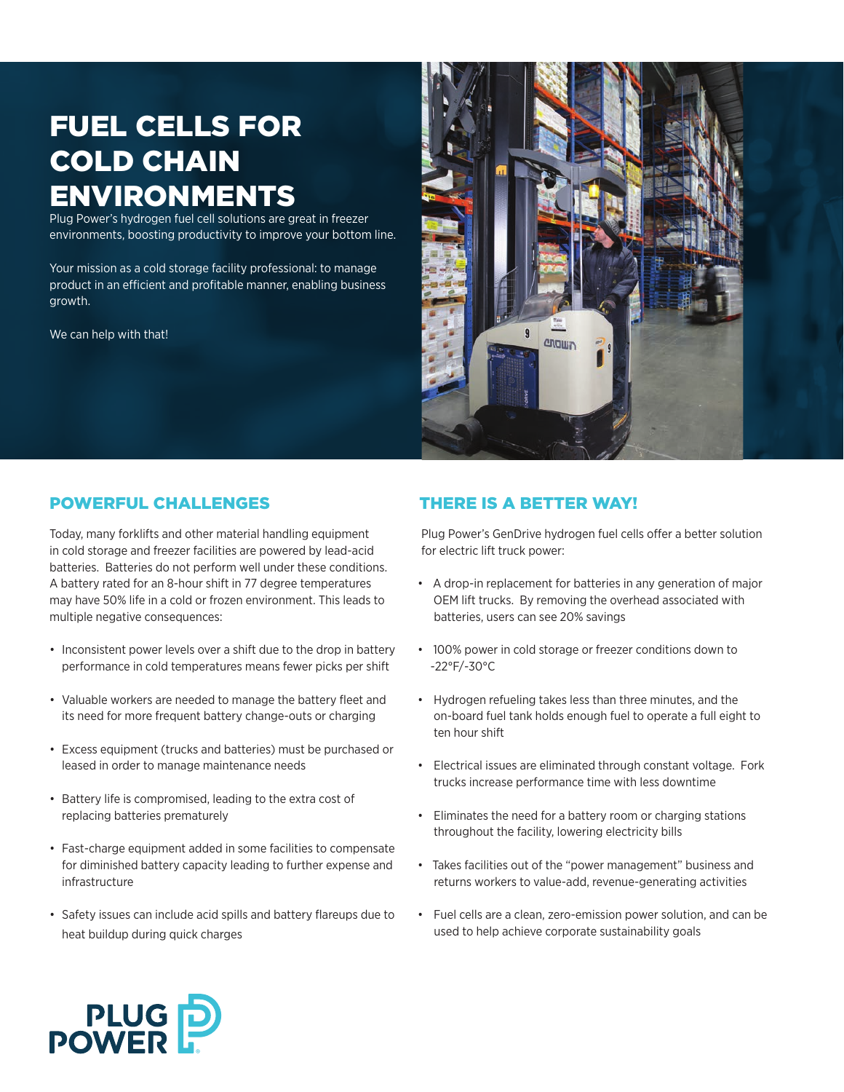# fuel cells for cold chain environments

Plug Power's hydrogen fuel cell solutions are great in freezer environments, boosting productivity to improve your bottom line.

Your mission as a cold storage facility professional: to manage product in an efficient and profitable manner, enabling business growth.

We can help with that!



# powerful challenges

Today, many forklifts and other material handling equipment in cold storage and freezer facilities are powered by lead-acid batteries. Batteries do not perform well under these conditions. A battery rated for an 8-hour shift in 77 degree temperatures may have 50% life in a cold or frozen environment. This leads to multiple negative consequences:

- Inconsistent power levels over a shift due to the drop in battery performance in cold temperatures means fewer picks per shift
- Valuable workers are needed to manage the battery fleet and its need for more frequent battery change-outs or charging
- • Excess equipment (trucks and batteries) must be purchased or leased in order to manage maintenance needs
- Battery life is compromised, leading to the extra cost of replacing batteries prematurely
- • Fast-charge equipment added in some facilities to compensate for diminished battery capacity leading to further expense and infrastructure
- Safety issues can include acid spills and battery flareups due to heat buildup during quick charges

# There is a better way!

Plug Power's GenDrive hydrogen fuel cells offer a better solution for electric lift truck power:

- • A drop-in replacement for batteries in any generation of major OEM lift trucks. By removing the overhead associated with batteries, users can see 20% savings
- • 100% power in cold storage or freezer conditions down to -22°F/-30°C
- • Hydrogen refueling takes less than three minutes, and the on-board fuel tank holds enough fuel to operate a full eight to ten hour shift
- • Electrical issues are eliminated through constant voltage. Fork trucks increase performance time with less downtime
- • Eliminates the need for a battery room or charging stations throughout the facility, lowering electricity bills
- • Takes facilities out of the "power management" business and returns workers to value-add, revenue-generating activities
- • Fuel cells are a clean, zero-emission power solution, and can be used to help achieve corporate sustainability goals